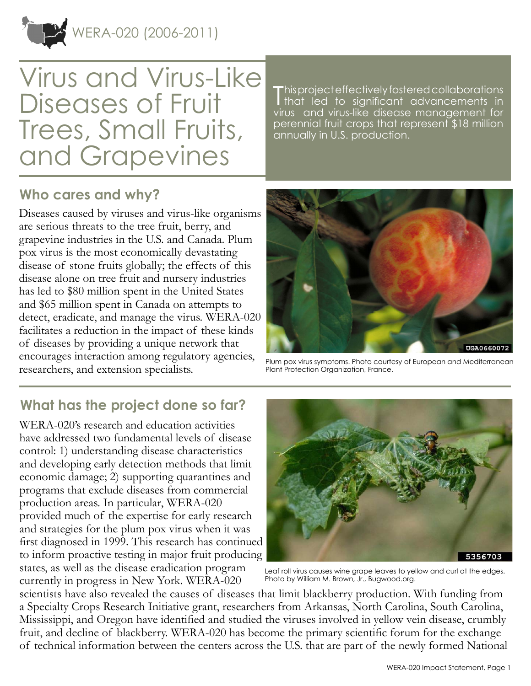WERA-020 (2006-2011)



This project effectively fostered collaborations<br>
that led to significant advancements in Ithat led to significant advancements in virus and virus-like disease management for perennial fruit crops that represent \$18 million annually in U.S. production.

#### **Who cares and why?**

Diseases caused by viruses and virus-like organisms are serious threats to the tree fruit, berry, and grapevine industries in the U.S. and Canada. Plum pox virus is the most economically devastating disease of stone fruits globally; the effects of this disease alone on tree fruit and nursery industries has led to \$80 million spent in the United States and \$65 million spent in Canada on attempts to detect, eradicate, and manage the virus. WERA-020 facilitates a reduction in the impact of these kinds of diseases by providing a unique network that encourages interaction among regulatory agencies, researchers, and extension specialists.



Plum pox virus symptoms. Photo courtesy of European and Mediterranean Plant Protection Organization, France.

# **What has the project done so far?**

WERA-020's research and education activities have addressed two fundamental levels of disease control: 1) understanding disease characteristics and developing early detection methods that limit economic damage; 2) supporting quarantines and programs that exclude diseases from commercial production areas. In particular, WERA-020 provided much of the expertise for early research and strategies for the plum pox virus when it was first diagnosed in 1999. This research has continued to inform proactive testing in major fruit producing states, as well as the disease eradication program currently in progress in New York. WERA-020



Leaf roll virus causes wine grape leaves to yellow and curl at the edges. Photo by William M. Brown, Jr., Bugwood.org.

scientists have also revealed the causes of diseases that limit blackberry production. With funding from a Specialty Crops Research Initiative grant, researchers from Arkansas, North Carolina, South Carolina, Mississippi, and Oregon have identified and studied the viruses involved in yellow vein disease, crumbly fruit, and decline of blackberry. WERA-020 has become the primary scientific forum for the exchange of technical information between the centers across the U.S. that are part of the newly formed National